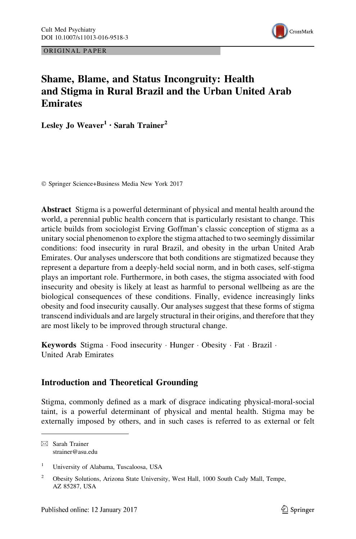ORIGINAL PAPER



# Shame, Blame, and Status Incongruity: Health and Stigma in Rural Brazil and the Urban United Arab Emirates

Lesley Jo Weaver<sup>1</sup> • Sarah Trainer<sup>2</sup>

© Springer Science+Business Media New York 2017

Abstract Stigma is a powerful determinant of physical and mental health around the world, a perennial public health concern that is particularly resistant to change. This article builds from sociologist Erving Goffman's classic conception of stigma as a unitary social phenomenon to explore the stigma attached to two seemingly dissimilar conditions: food insecurity in rural Brazil, and obesity in the urban United Arab Emirates. Our analyses underscore that both conditions are stigmatized because they represent a departure from a deeply-held social norm, and in both cases, self-stigma plays an important role. Furthermore, in both cases, the stigma associated with food insecurity and obesity is likely at least as harmful to personal wellbeing as are the biological consequences of these conditions. Finally, evidence increasingly links obesity and food insecurity causally. Our analyses suggest that these forms of stigma transcend individuals and are largely structural in their origins, and therefore that they are most likely to be improved through structural change.

Keywords Stigma · Food insecurity · Hunger · Obesity · Fat · Brazil · United Arab Emirates

# Introduction and Theoretical Grounding

Stigma, commonly defined as a mark of disgrace indicating physical-moral-social taint, is a powerful determinant of physical and mental health. Stigma may be externally imposed by others, and in such cases is referred to as external or felt

 $\boxtimes$  Sarah Trainer strainer@asu.edu

<sup>&</sup>lt;sup>1</sup> University of Alabama, Tuscaloosa, USA

<sup>&</sup>lt;sup>2</sup> Obesity Solutions, Arizona State University, West Hall, 1000 South Cady Mall, Tempe, AZ 85287, USA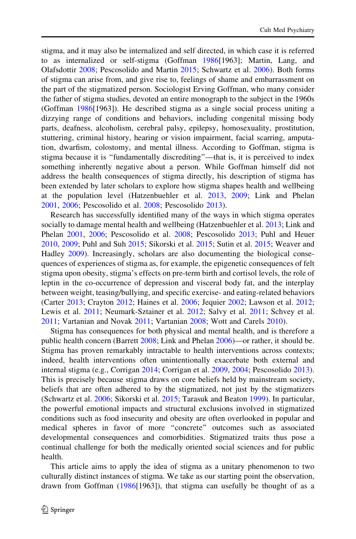stigma, and it may also be internalized and self directed, in which case it is referred to as internalized or self-stigma (Goffman [1986](#page-17-0)[1963]; Martin, Lang, and Olafsdottir [2008;](#page-18-0) Pescosolido and Martin [2015;](#page-19-0) Schwartz et al. [2006](#page-20-0)). Both forms of stigma can arise from, and give rise to, feelings of shame and embarrassment on the part of the stigmatized person. Sociologist Erving Goffman, who many consider the father of stigma studies, devoted an entire monograph to the subject in the 1960s (Goffman [1986\[](#page-17-0)1963]). He described stigma as a single social process uniting a dizzying range of conditions and behaviors, including congenital missing body parts, deafness, alcoholism, cerebral palsy, epilepsy, homosexuality, prostitution, stuttering, criminal history, hearing or vision impairment, facial scarring, amputation, dwarfism, colostomy, and mental illness. According to Goffman, stigma is stigma because it is ''fundamentally discrediting''—that is, it is perceived to index something inherently negative about a person. While Goffman himself did not address the health consequences of stigma directly, his description of stigma has been extended by later scholars to explore how stigma shapes health and wellbeing at the population level (Hatzenbuehler et al. [2013,](#page-18-0) [2009;](#page-18-0) Link and Phelan [2001,](#page-18-0) [2006;](#page-18-0) Pescosolido et al. [2008;](#page-19-0) Pescosolido [2013\)](#page-19-0).

Research has successfully identified many of the ways in which stigma operates socially to damage mental health and wellbeing (Hatzenbuehler et al. [2013;](#page-18-0) Link and Phelan [2001,](#page-18-0) [2006;](#page-18-0) Pescosolido et al. [2008](#page-19-0); Pescosolido [2013;](#page-19-0) Puhl and Heuer [2010,](#page-19-0) [2009](#page-19-0); Puhl and Suh [2015](#page-20-0); Sikorski et al. [2015](#page-20-0); Sutin et al. [2015](#page-20-0); Weaver and Hadley [2009](#page-21-0)). Increasingly, scholars are also documenting the biological consequences of experiences of stigma as, for example, the epigenetic consequences of felt stigma upon obesity, stigma's effects on pre-term birth and cortisol levels, the role of leptin in the co-occurrence of depression and visceral body fat, and the interplay between weight, teasing/bullying, and specific exercise- and eating-related behaviors (Carter [2013;](#page-16-0) Crayton [2012;](#page-17-0) Haines et al. [2006;](#page-18-0) Jequier [2002;](#page-18-0) Lawson et al. [2012;](#page-18-0) Lewis et al. [2011](#page-20-0); Neumark-Sztainer et al. [2012](#page-19-0); Salvy et al. 2011; Schvey et al. [2011;](#page-20-0) Vartanian and Novak [2011](#page-21-0); Vartanian [2008;](#page-21-0) Wott and Carels [2010](#page-21-0)).

Stigma has consequences for both physical and mental health, and is therefore a public health concern (Barrett [2008](#page-16-0); Link and Phelan [2006\)](#page-18-0)—or rather, it should be. Stigma has proven remarkably intractable to health interventions across contexts; indeed, health interventions often unintentionally exacerbate both external and internal stigma (e.g., Corrigan [2014](#page-17-0); Corrigan et al. [2009](#page-17-0), [2004;](#page-17-0) Pescosolido [2013\)](#page-19-0). This is precisely because stigma draws on core beliefs held by mainstream society, beliefs that are often adhered to by the stigmatized, not just by the stigmatizers (Schwartz et al. [2006](#page-20-0); Sikorski et al. [2015;](#page-20-0) Tarasuk and Beaton [1999](#page-20-0)). In particular, the powerful emotional impacts and structural exclusions involved in stigmatized conditions such as food insecurity and obesity are often overlooked in popular and medical spheres in favor of more ''concrete'' outcomes such as associated developmental consequences and comorbidities. Stigmatized traits thus pose a continual challenge for both the medically oriented social sciences and for public health.

This article aims to apply the idea of stigma as a unitary phenomenon to two culturally distinct instances of stigma. We take as our starting point the observation, drawn from Goffman ([1986\[](#page-17-0)1963]), that stigma can usefully be thought of as a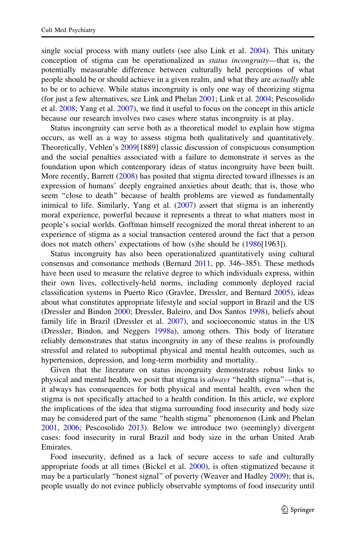single social process with many outlets (see also Link et al. [2004](#page-18-0)). This unitary conception of stigma can be operationalized as *status incongruity*—that is, the potentially measurable difference between culturally held perceptions of what people should be or should achieve in a given realm, and what they are *actually* able to be or to achieve. While status incongruity is only one way of theorizing stigma (for just a few alternatives, see Link and Phelan [2001;](#page-18-0) Link et al. [2004](#page-18-0); Pescosolido et al. [2008](#page-19-0); Yang et al. [2007\)](#page-21-0), we find it useful to focus on the concept in this article because our research involves two cases where status incongruity is at play.

Status incongruity can serve both as a theoretical model to explain how stigma occurs, as well as a way to assess stigma both qualitatively and quantitatively. Theoretically, Veblen's [2009](#page-21-0)[1889] classic discussion of conspicuous consumption and the social penalties associated with a failure to demonstrate it serves as the foundation upon which contemporary ideas of status incongruity have been built. More recently, Barrett ([2008\)](#page-16-0) has posited that stigma directed toward illnesses is an expression of humans' deeply engrained anxieties about death; that is, those who seem ''close to death'' because of health problems are viewed as fundamentally inimical to life. Similarly, Yang et al. ([2007\)](#page-21-0) assert that stigma is an inherently moral experience, powerful because it represents a threat to what matters most in people's social worlds. Goffman himself recognized the moral threat inherent to an experience of stigma as a social transaction centered around the fact that a person does not match others' expectations of how (s)he should be ([1986\[](#page-17-0)1963]).

Status incongruity has also been operationalized quantitatively using cultural consensus and consonance methods (Bernard [2011](#page-16-0), pp. 346–385). These methods have been used to measure the relative degree to which individuals express, within their own lives, collectively-held norms, including commonly deployed racial classification systems in Puerto Rico (Gravlee, Dressler, and Bernard [2005\)](#page-17-0), ideas about what constitutes appropriate lifestyle and social support in Brazil and the US (Dressler and Bindon [2000;](#page-17-0) Dressler, Baleiro, and Dos Santos [1998](#page-17-0)), beliefs about family life in Brazil (Dressler et al. [2007\)](#page-17-0), and socioeconomic status in the US (Dressler, Bindon, and Neggers [1998a\)](#page-17-0), among others. This body of literature reliably demonstrates that status incongruity in any of these realms is profoundly stressful and related to suboptimal physical and mental health outcomes, such as hypertension, depression, and long-term morbidity and mortality.

Given that the literature on status incongruity demonstrates robust links to physical and mental health, we posit that stigma is *always* "health stigma"—that is, it always has consequences for both physical and mental health, even when the stigma is not specifically attached to a health condition. In this article, we explore the implications of the idea that stigma surrounding food insecurity and body size may be considered part of the same ''health stigma'' phenomenon (Link and Phelan [2001,](#page-18-0) [2006](#page-18-0); Pescosolido [2013](#page-19-0)). Below we introduce two (seemingly) divergent cases: food insecurity in rural Brazil and body size in the urban United Arab Emirates.

Food insecurity, defined as a lack of secure access to safe and culturally appropriate foods at all times (Bickel et al. [2000\)](#page-16-0), is often stigmatized because it may be a particularly ''honest signal'' of poverty (Weaver and Hadley [2009](#page-21-0)); that is, people usually do not evince publicly observable symptoms of food insecurity until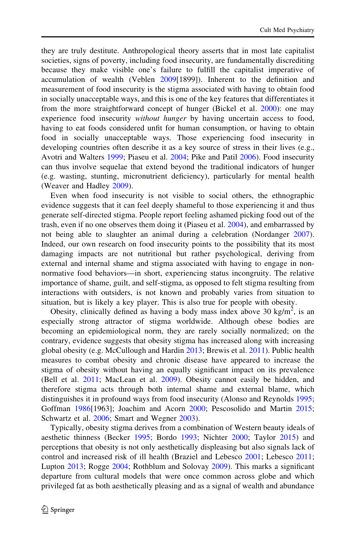they are truly destitute. Anthropological theory asserts that in most late capitalist societies, signs of poverty, including food insecurity, are fundamentally discrediting because they make visible one's failure to fulfill the capitalist imperative of accumulation of wealth (Veblen [2009\[](#page-21-0)1899]). Inherent to the definition and measurement of food insecurity is the stigma associated with having to obtain food in socially unacceptable ways, and this is one of the key features that differentiates it from the more straightforward concept of hunger (Bickel et al. [2000\)](#page-16-0): one may experience food insecurity *without hunger* by having uncertain access to food, having to eat foods considered unfit for human consumption, or having to obtain food in socially unacceptable ways. Those experiencing food insecurity in developing countries often describe it as a key source of stress in their lives (e.g., Avotri and Walters [1999](#page-16-0); Piaseu et al. [2004](#page-19-0); Pike and Patil [2006](#page-19-0)). Food insecurity can thus involve sequelae that extend beyond the traditional indicators of hunger (e.g. wasting, stunting, micronutrient deficiency), particularly for mental health (Weaver and Hadley [2009\)](#page-21-0).

Even when food insecurity is not visible to social others, the ethnographic evidence suggests that it can feel deeply shameful to those experiencing it and thus generate self-directed stigma. People report feeling ashamed picking food out of the trash, even if no one observes them doing it (Piaseu et al. [2004\)](#page-19-0), and embarrassed by not being able to slaughter an animal during a celebration (Nordanger [2007\)](#page-19-0). Indeed, our own research on food insecurity points to the possibility that its most damaging impacts are not nutritional but rather psychological, deriving from external and internal shame and stigma associated with having to engage in nonnormative food behaviors—in short, experiencing status incongruity. The relative importance of shame, guilt, and self-stigma, as opposed to felt stigma resulting from interactions with outsiders, is not known and probably varies from situation to situation, but is likely a key player. This is also true for people with obesity.

Obesity, clinically defined as having a body mass index above 30 kg/m<sup>2</sup>, is an especially strong attractor of stigma worldwide. Although obese bodies are becoming an epidemiological norm, they are rarely socially normalized; on the contrary, evidence suggests that obesity stigma has increased along with increasing global obesity (e.g. McCullough and Hardin [2013;](#page-18-0) Brewis et al. [2011\)](#page-16-0). Public health measures to combat obesity and chronic disease have appeared to increase the stigma of obesity without having an equally significant impact on its prevalence (Bell et al. [2011](#page-16-0); MacLean et al. [2009](#page-18-0)). Obesity cannot easily be hidden, and therefore stigma acts through both internal shame and external blame, which distinguishes it in profound ways from food insecurity (Alonso and Reynolds [1995;](#page-16-0) Goffman [1986\[](#page-17-0)1963]; Joachim and Acorn [2000;](#page-18-0) Pescosolido and Martin [2015;](#page-19-0) Schwartz et al. [2006](#page-20-0); Smart and Wegner [2003](#page-20-0)).

Typically, obesity stigma derives from a combination of Western beauty ideals of aesthetic thinness (Becker [1995;](#page-16-0) Bordo [1993](#page-16-0); Nichter [2000](#page-19-0); Taylor [2015\)](#page-20-0) and perceptions that obesity is not only aesthetically displeasing but also signals lack of control and increased risk of ill health (Braziel and Lebesco [2001;](#page-16-0) Lebesco [2011;](#page-18-0) Lupton [2013](#page-18-0); Rogge [2004](#page-20-0); Rothblum and Solovay [2009](#page-20-0)). This marks a significant departure from cultural models that were once common across globe and which privileged fat as both aesthetically pleasing and as a signal of wealth and abundance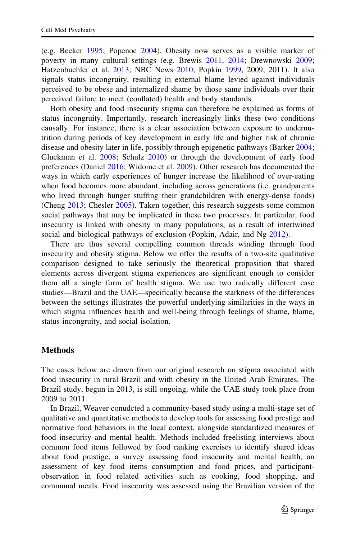(e.g. Becker [1995;](#page-16-0) Popenoe [2004\)](#page-19-0). Obesity now serves as a visible marker of poverty in many cultural settings (e.g. Brewis [2011](#page-16-0), [2014;](#page-16-0) Drewnowski [2009;](#page-17-0) Hatzenbuehler et al. [2013](#page-18-0); NBC News [2010](#page-19-0); Popkin [1999](#page-19-0), 2009, 2011). It also signals status incongruity, resulting in external blame levied against individuals perceived to be obese and internalized shame by those same individuals over their perceived failure to meet (conflated) health and body standards.

Both obesity and food insecurity stigma can therefore be explained as forms of status incongruity. Importantly, research increasingly links these two conditions causally. For instance, there is a clear association between exposure to undernutrition during periods of key development in early life and higher risk of chronic disease and obesity later in life, possibly through epigenetic pathways (Barker [2004;](#page-16-0) Gluckman et al. [2008](#page-17-0); Schulz [2010\)](#page-20-0) or through the development of early food preferences (Daniel [2016;](#page-17-0) Widome et al. [2009](#page-21-0)). Other research has documented the ways in which early experiences of hunger increase the likelihood of over-eating when food becomes more abundant, including across generations (i.e. grandparents who lived through hunger stuffing their grandchildren with energy-dense foods) (Cheng [2013](#page-16-0); Chesler [2005\)](#page-16-0). Taken together, this research suggests some common social pathways that may be implicated in these two processes. In particular, food insecurity is linked with obesity in many populations, as a result of intertwined social and biological pathways of exclusion (Popkin, Adair, and Ng [2012\)](#page-19-0).

There are thus several compelling common threads winding through food insecurity and obesity stigma. Below we offer the results of a two-site qualitative comparison designed to take seriously the theoretical proposition that shared elements across divergent stigma experiences are significant enough to consider them all a single form of health stigma. We use two radically different case studies—Brazil and the UAE—specifically because the starkness of the differences between the settings illustrates the powerful underlying similarities in the ways in which stigma influences health and well-being through feelings of shame, blame, status incongruity, and social isolation.

## Methods

The cases below are drawn from our original research on stigma associated with food insecurity in rural Brazil and with obesity in the United Arab Emirates. The Brazil study, begun in 2013, is still ongoing, while the UAE study took place from 2009 to 2011.

In Brazil, Weaver conudcted a community-based study using a multi-stage set of qualitative and quantitative methods to develop tools for assessing food prestige and normative food behaviors in the local context, alongside standardized measures of food insecurity and mental health. Methods included freelisting interviews about common food items followed by food ranking exercises to identify shared ideas about food prestige, a survey assessing food insecurity and mental health, an assessment of key food items consumption and food prices, and participantobservation in food related activities such as cooking, food shopping, and communal meals. Food insecurity was assessed using the Brazilian version of the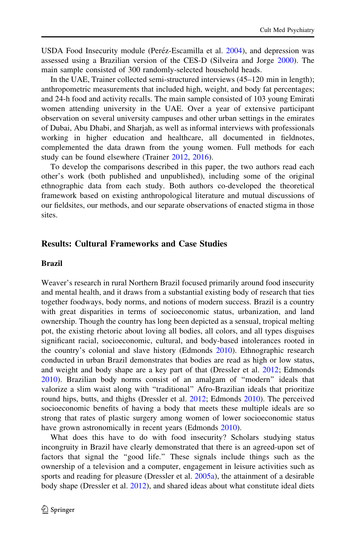USDA Food Insecurity module (Peréz-Escamilla et al. [2004](#page-19-0)), and depression was assessed using a Brazilian version of the CES-D (Silveira and Jorge [2000\)](#page-20-0). The main sample consisted of 300 randomly-selected household heads.

In the UAE, Trainer collected semi-structured interviews (45–120 min in length); anthropometric measurements that included high, weight, and body fat percentages; and 24-h food and activity recalls. The main sample consisted of 103 young Emirati women attending university in the UAE. Over a year of extensive participant observation on several university campuses and other urban settings in the emirates of Dubai, Abu Dhabi, and Sharjah, as well as informal interviews with professionals working in higher education and healthcare, all documented in fieldnotes, complemented the data drawn from the young women. Full methods for each study can be found elsewhere (Trainer [2012](#page-20-0), [2016\)](#page-20-0).

To develop the comparisons described in this paper, the two authors read each other's work (both published and unpublished), including some of the original ethnographic data from each study. Both authors co-developed the theoretical framework based on existing anthropological literature and mutual discussions of our fieldsites, our methods, and our separate observations of enacted stigma in those sites.

# Results: Cultural Frameworks and Case Studies

### Brazil

Weaver's research in rural Northern Brazil focused primarily around food insecurity and mental health, and it draws from a substantial existing body of research that ties together foodways, body norms, and notions of modern success. Brazil is a country with great disparities in terms of socioeconomic status, urbanization, and land ownership. Though the country has long been depicted as a sensual, tropical melting pot, the existing rhetoric about loving all bodies, all colors, and all types disguises significant racial, socioeconomic, cultural, and body-based intolerances rooted in the country's colonial and slave history (Edmonds [2010\)](#page-17-0). Ethnographic research conducted in urban Brazil demonstrates that bodies are read as high or low status, and weight and body shape are a key part of that (Dressler et al. [2012](#page-17-0); Edmonds [2010\)](#page-17-0). Brazilian body norms consist of an amalgam of ''modern'' ideals that valorize a slim waist along with ''traditional'' Afro-Brazilian ideals that prioritize round hips, butts, and thighs (Dressler et al. [2012](#page-17-0); Edmonds [2010](#page-17-0)). The perceived socioeconomic benefits of having a body that meets these multiple ideals are so strong that rates of plastic surgery among women of lower socioeconomic status have grown astronomically in recent years (Edmonds [2010\)](#page-17-0).

What does this have to do with food insecurity? Scholars studying status incongruity in Brazil have clearly demonstrated that there is an agreed-upon set of factors that signal the ''good life.'' These signals include things such as the ownership of a television and a computer, engagement in leisure activities such as sports and reading for pleasure (Dressler et al. [2005a\)](#page-17-0), the attainment of a desirable body shape (Dressler et al. [2012\)](#page-17-0), and shared ideas about what constitute ideal diets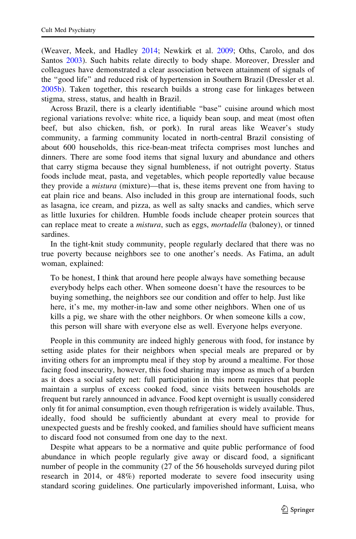(Weaver, Meek, and Hadley [2014;](#page-21-0) Newkirk et al. [2009;](#page-19-0) Oths, Carolo, and dos Santos [2003\)](#page-19-0). Such habits relate directly to body shape. Moreover, Dressler and colleagues have demonstrated a clear association between attainment of signals of the ''good life'' and reduced risk of hypertension in Southern Brazil (Dressler et al. [2005b\)](#page-17-0). Taken together, this research builds a strong case for linkages between stigma, stress, status, and health in Brazil.

Across Brazil, there is a clearly identifiable ''base'' cuisine around which most regional variations revolve: white rice, a liquidy bean soup, and meat (most often beef, but also chicken, fish, or pork). In rural areas like Weaver's study community, a farming community located in north-central Brazil consisting of about 600 households, this rice-bean-meat trifecta comprises most lunches and dinners. There are some food items that signal luxury and abundance and others that carry stigma because they signal humbleness, if not outright poverty. Status foods include meat, pasta, and vegetables, which people reportedly value because they provide a *mistura* (mixture)—that is, these items prevent one from having to eat plain rice and beans. Also included in this group are international foods, such as lasagna, ice cream, and pizza, as well as salty snacks and candies, which serve as little luxuries for children. Humble foods include cheaper protein sources that can replace meat to create a *mistura*, such as eggs, *mortadella* (baloney), or tinned sardines.

In the tight-knit study community, people regularly declared that there was no true poverty because neighbors see to one another's needs. As Fatima, an adult woman, explained:

To be honest, I think that around here people always have something because everybody helps each other. When someone doesn't have the resources to be buying something, the neighbors see our condition and offer to help. Just like here, it's me, my mother-in-law and some other neighbors. When one of us kills a pig, we share with the other neighbors. Or when someone kills a cow, this person will share with everyone else as well. Everyone helps everyone.

People in this community are indeed highly generous with food, for instance by setting aside plates for their neighbors when special meals are prepared or by inviting others for an impromptu meal if they stop by around a mealtime. For those facing food insecurity, however, this food sharing may impose as much of a burden as it does a social safety net: full participation in this norm requires that people maintain a surplus of excess cooked food, since visits between households are frequent but rarely announced in advance. Food kept overnight is usually considered only fit for animal consumption, even though refrigeration is widely available. Thus, ideally, food should be sufficiently abundant at every meal to provide for unexpected guests and be freshly cooked, and families should have sufficient means to discard food not consumed from one day to the next.

Despite what appears to be a normative and quite public performance of food abundance in which people regularly give away or discard food, a significant number of people in the community (27 of the 56 households surveyed during pilot research in 2014, or 48%) reported moderate to severe food insecurity using standard scoring guidelines. One particularly impoverished informant, Luisa, who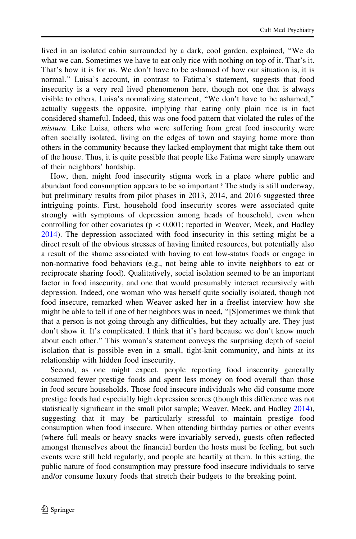lived in an isolated cabin surrounded by a dark, cool garden, explained, ''We do what we can. Sometimes we have to eat only rice with nothing on top of it. That's it. That's how it is for us. We don't have to be ashamed of how our situation is, it is normal.'' Luisa's account, in contrast to Fatima's statement, suggests that food insecurity is a very real lived phenomenon here, though not one that is always visible to others. Luisa's normalizing statement, ''We don't have to be ashamed,'' actually suggests the opposite, implying that eating only plain rice is in fact considered shameful. Indeed, this was one food pattern that violated the rules of the mistura. Like Luisa, others who were suffering from great food insecurity were often socially isolated, living on the edges of town and staying home more than others in the community because they lacked employment that might take them out of the house. Thus, it is quite possible that people like Fatima were simply unaware of their neighbors' hardship.

How, then, might food insecurity stigma work in a place where public and abundant food consumption appears to be so important? The study is still underway, but preliminary results from pilot phases in 2013, 2014, and 2016 suggested three intriguing points. First, household food insecurity scores were associated quite strongly with symptoms of depression among heads of household, even when controlling for other covariates ( $p \lt 0.001$ ; reported in Weaver, Meek, and Hadley [2014\)](#page-21-0). The depression associated with food insecurity in this setting might be a direct result of the obvious stresses of having limited resources, but potentially also a result of the shame associated with having to eat low-status foods or engage in non-normative food behaviors (e.g., not being able to invite neighbors to eat or reciprocate sharing food). Qualitatively, social isolation seemed to be an important factor in food insecurity, and one that would presumably interact recursively with depression. Indeed, one woman who was herself quite socially isolated, though not food insecure, remarked when Weaver asked her in a freelist interview how she might be able to tell if one of her neighbors was in need, ''[S]ometimes we think that that a person is not going through any difficulties, but they actually are. They just don't show it. It's complicated. I think that it's hard because we don't know much about each other.'' This woman's statement conveys the surprising depth of social isolation that is possible even in a small, tight-knit community, and hints at its relationship with hidden food insecurity.

Second, as one might expect, people reporting food insecurity generally consumed fewer prestige foods and spent less money on food overall than those in food secure households. Those food insecure individuals who did consume more prestige foods had especially high depression scores (though this difference was not statistically significant in the small pilot sample; Weaver, Meek, and Hadley [2014\)](#page-21-0), suggesting that it may be particularly stressful to maintain prestige food consumption when food insecure. When attending birthday parties or other events (where full meals or heavy snacks were invariably served), guests often reflected amongst themselves about the financial burden the hosts must be feeling, but such events were still held regularly, and people ate heartily at them. In this setting, the public nature of food consumption may pressure food insecure individuals to serve and/or consume luxury foods that stretch their budgets to the breaking point.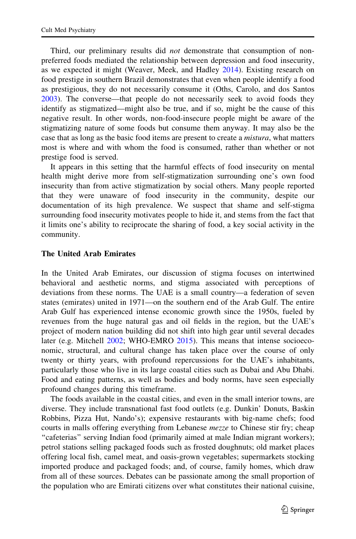Third, our preliminary results did *not* demonstrate that consumption of nonpreferred foods mediated the relationship between depression and food insecurity, as we expected it might (Weaver, Meek, and Hadley [2014\)](#page-21-0). Existing research on food prestige in southern Brazil demonstrates that even when people identify a food as prestigious, they do not necessarily consume it (Oths, Carolo, and dos Santos [2003\)](#page-19-0). The converse—that people do not necessarily seek to avoid foods they identify as stigmatized—might also be true, and if so, might be the cause of this negative result. In other words, non-food-insecure people might be aware of the stigmatizing nature of some foods but consume them anyway. It may also be the case that as long as the basic food items are present to create a *mistura*, what matters most is where and with whom the food is consumed, rather than whether or not prestige food is served.

It appears in this setting that the harmful effects of food insecurity on mental health might derive more from self-stigmatization surrounding one's own food insecurity than from active stigmatization by social others. Many people reported that they were unaware of food insecurity in the community, despite our documentation of its high prevalence. We suspect that shame and self-stigma surrounding food insecurity motivates people to hide it, and stems from the fact that it limits one's ability to reciprocate the sharing of food, a key social activity in the community.

## The United Arab Emirates

In the United Arab Emirates, our discussion of stigma focuses on intertwined behavioral and aesthetic norms, and stigma associated with perceptions of deviations from these norms. The UAE is a small country—a federation of seven states (emirates) united in 1971—on the southern end of the Arab Gulf. The entire Arab Gulf has experienced intense economic growth since the 1950s, fueled by revenues from the huge natural gas and oil fields in the region, but the UAE's project of modern nation building did not shift into high gear until several decades later (e.g. Mitchell [2002](#page-18-0); WHO-EMRO [2015](#page-21-0)). This means that intense socioeconomic, structural, and cultural change has taken place over the course of only twenty or thirty years, with profound repercussions for the UAE's inhabitants, particularly those who live in its large coastal cities such as Dubai and Abu Dhabi. Food and eating patterns, as well as bodies and body norms, have seen especially profound changes during this timeframe.

The foods available in the coastal cities, and even in the small interior towns, are diverse. They include transnational fast food outlets (e.g. Dunkin' Donuts, Baskin Robbins, Pizza Hut, Nando's); expensive restaurants with big-name chefs; food courts in malls offering everything from Lebanese *mezze* to Chinese stir fry; cheap ''cafeterias'' serving Indian food (primarily aimed at male Indian migrant workers); petrol stations selling packaged foods such as frosted doughnuts; old market places offering local fish, camel meat, and oasis-grown vegetables; supermarkets stocking imported produce and packaged foods; and, of course, family homes, which draw from all of these sources. Debates can be passionate among the small proportion of the population who are Emirati citizens over what constitutes their national cuisine,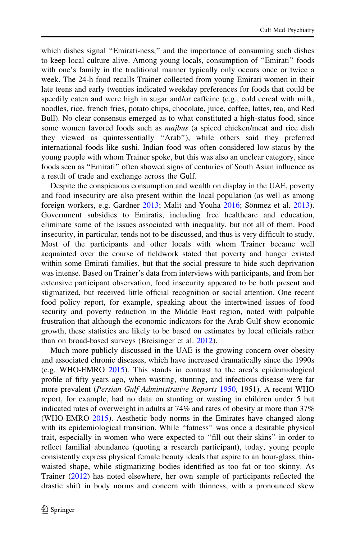which dishes signal "Emirati-ness," and the importance of consuming such dishes to keep local culture alive. Among young locals, consumption of ''Emirati'' foods with one's family in the traditional manner typically only occurs once or twice a week. The 24-h food recalls Trainer collected from young Emirati women in their late teens and early twenties indicated weekday preferences for foods that could be speedily eaten and were high in sugar and/or caffeine (e.g., cold cereal with milk, noodles, rice, french fries, potato chips, chocolate, juice, coffee, lattes, tea, and Red Bull). No clear consensus emerged as to what constituted a high-status food, since some women favored foods such as *majbus* (a spiced chicken/meat and rice dish they viewed as quintessentially ''Arab''), while others said they preferred international foods like sushi. Indian food was often considered low-status by the young people with whom Trainer spoke, but this was also an unclear category, since foods seen as ''Emirati'' often showed signs of centuries of South Asian influence as a result of trade and exchange across the Gulf.

Despite the conspicuous consumption and wealth on display in the UAE, poverty and food insecurity are also present within the local population (as well as among foreign workers, e.g. Gardner  $2013$ ; Malit and Youha  $2016$ ; Sönmez et al.  $2013$ ). Government subsidies to Emiratis, including free healthcare and education, eliminate some of the issues associated with inequality, but not all of them. Food insecurity, in particular, tends not to be discussed, and thus is very difficult to study. Most of the participants and other locals with whom Trainer became well acquainted over the course of fieldwork stated that poverty and hunger existed within some Emirati families, but that the social pressure to hide such deprivation was intense. Based on Trainer's data from interviews with participants, and from her extensive participant observation, food insecurity appeared to be both present and stigmatized, but received little official recognition or social attention. One recent food policy report, for example, speaking about the intertwined issues of food security and poverty reduction in the Middle East region, noted with palpable frustration that although the economic indicators for the Arab Gulf show economic growth, these statistics are likely to be based on estimates by local officials rather than on broad-based surveys (Breisinger et al. [2012\)](#page-16-0).

Much more publicly discussed in the UAE is the growing concern over obesity and associated chronic diseases, which have increased dramatically since the 1990s (e.g. WHO-EMRO [2015](#page-21-0)). This stands in contrast to the area's epidemiological profile of fifty years ago, when wasting, stunting, and infectious disease were far more prevalent (Persian Gulf Administrative Reports [1950](#page-19-0), 1951). A recent WHO report, for example, had no data on stunting or wasting in children under 5 but indicated rates of overweight in adults at 74% and rates of obesity at more than 37% (WHO-EMRO [2015](#page-21-0)). Aesthetic body norms in the Emirates have changed along with its epidemiological transition. While "fatness" was once a desirable physical trait, especially in women who were expected to ''fill out their skins'' in order to reflect familial abundance (quoting a research participant), today, young people consistently express physical female beauty ideals that aspire to an hour-glass, thinwaisted shape, while stigmatizing bodies identified as too fat or too skinny. As Trainer ([2012\)](#page-20-0) has noted elsewhere, her own sample of participants reflected the drastic shift in body norms and concern with thinness, with a pronounced skew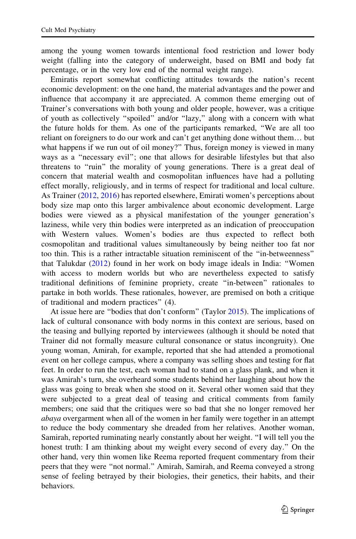among the young women towards intentional food restriction and lower body weight (falling into the category of underweight, based on BMI and body fat percentage, or in the very low end of the normal weight range).

Emiratis report somewhat conflicting attitudes towards the nation's recent economic development: on the one hand, the material advantages and the power and influence that accompany it are appreciated. A common theme emerging out of Trainer's conversations with both young and older people, however, was a critique of youth as collectively ''spoiled'' and/or ''lazy,'' along with a concern with what the future holds for them. As one of the participants remarked, ''We are all too reliant on foreigners to do our work and can't get anything done without them… but what happens if we run out of oil money?" Thus, foreign money is viewed in many ways as a ''necessary evil''; one that allows for desirable lifestyles but that also threatens to ''ruin'' the morality of young generations. There is a great deal of concern that material wealth and cosmopolitan influences have had a polluting effect morally, religiously, and in terms of respect for traditional and local culture. As Trainer ([2012,](#page-20-0) [2016](#page-20-0)) has reported elsewhere, Emirati women's perceptions about body size map onto this larger ambivalence about economic development. Large bodies were viewed as a physical manifestation of the younger generation's laziness, while very thin bodies were interpreted as an indication of preoccupation with Western values. Women's bodies are thus expected to reflect both cosmopolitan and traditional values simultaneously by being neither too fat nor too thin. This is a rather intractable situation reminiscent of the ''in-betweenness'' that Talukdar [\(2012](#page-20-0)) found in her work on body image ideals in India: ''Women with access to modern worlds but who are nevertheless expected to satisfy traditional definitions of feminine propriety, create ''in-between'' rationales to partake in both worlds. These rationales, however, are premised on both a critique of traditional and modern practices'' (4).

At issue here are "bodies that don't conform" (Taylor [2015](#page-20-0)). The implications of lack of cultural consonance with body norms in this context are serious, based on the teasing and bullying reported by interviewees (although it should be noted that Trainer did not formally measure cultural consonance or status incongruity). One young woman, Amirah, for example, reported that she had attended a promotional event on her college campus, where a company was selling shoes and testing for flat feet. In order to run the test, each woman had to stand on a glass plank, and when it was Amirah's turn, she overheard some students behind her laughing about how the glass was going to break when she stood on it. Several other women said that they were subjected to a great deal of teasing and critical comments from family members; one said that the critiques were so bad that she no longer removed her abaya overgarment when all of the women in her family were together in an attempt to reduce the body commentary she dreaded from her relatives. Another woman, Samirah, reported ruminating nearly constantly about her weight. ''I will tell you the honest truth: I am thinking about my weight every second of every day.'' On the other hand, very thin women like Reema reported frequent commentary from their peers that they were ''not normal.'' Amirah, Samirah, and Reema conveyed a strong sense of feeling betrayed by their biologies, their genetics, their habits, and their behaviors.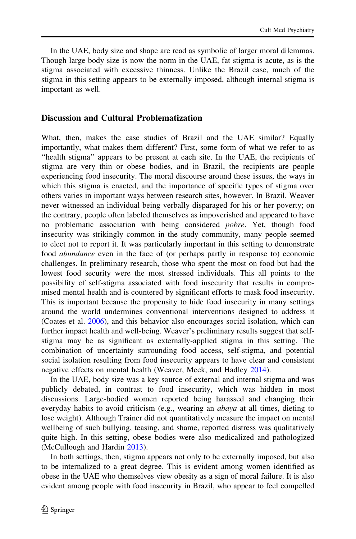In the UAE, body size and shape are read as symbolic of larger moral dilemmas. Though large body size is now the norm in the UAE, fat stigma is acute, as is the stigma associated with excessive thinness. Unlike the Brazil case, much of the stigma in this setting appears to be externally imposed, although internal stigma is important as well.

# Discussion and Cultural Problematization

What, then, makes the case studies of Brazil and the UAE similar? Equally importantly, what makes them different? First, some form of what we refer to as ''health stigma'' appears to be present at each site. In the UAE, the recipients of stigma are very thin or obese bodies, and in Brazil, the recipients are people experiencing food insecurity. The moral discourse around these issues, the ways in which this stigma is enacted, and the importance of specific types of stigma over others varies in important ways between research sites, however. In Brazil, Weaver never witnessed an individual being verbally disparaged for his or her poverty; on the contrary, people often labeled themselves as impoverished and appeared to have no problematic association with being considered pobre. Yet, though food insecurity was strikingly common in the study community, many people seemed to elect not to report it. It was particularly important in this setting to demonstrate food abundance even in the face of (or perhaps partly in response to) economic challenges. In preliminary research, those who spent the most on food but had the lowest food security were the most stressed individuals. This all points to the possibility of self-stigma associated with food insecurity that results in compromised mental health and is countered by significant efforts to mask food insecurity. This is important because the propensity to hide food insecurity in many settings around the world undermines conventional interventions designed to address it (Coates et al. [2006\)](#page-17-0), and this behavior also encourages social isolation, which can further impact health and well-being. Weaver's preliminary results suggest that selfstigma may be as significant as externally-applied stigma in this setting. The combination of uncertainty surrounding food access, self-stigma, and potential social isolation resulting from food insecurity appears to have clear and consistent negative effects on mental health (Weaver, Meek, and Hadley [2014](#page-21-0)).

In the UAE, body size was a key source of external and internal stigma and was publicly debated, in contrast to food insecurity, which was hidden in most discussions. Large-bodied women reported being harassed and changing their everyday habits to avoid criticism (e.g., wearing an *abaya* at all times, dieting to lose weight). Although Trainer did not quantitatively measure the impact on mental wellbeing of such bullying, teasing, and shame, reported distress was qualitatively quite high. In this setting, obese bodies were also medicalized and pathologized (McCullough and Hardin [2013](#page-18-0)).

In both settings, then, stigma appears not only to be externally imposed, but also to be internalized to a great degree. This is evident among women identified as obese in the UAE who themselves view obesity as a sign of moral failure. It is also evident among people with food insecurity in Brazil, who appear to feel compelled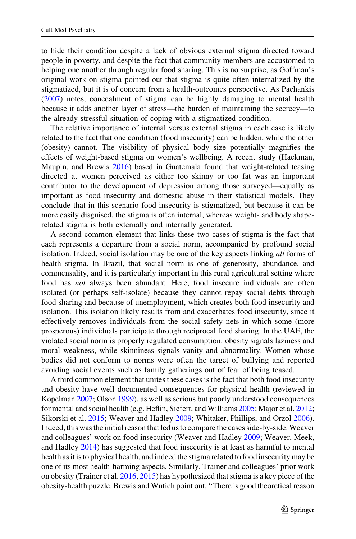to hide their condition despite a lack of obvious external stigma directed toward people in poverty, and despite the fact that community members are accustomed to helping one another through regular food sharing. This is no surprise, as Goffman's original work on stigma pointed out that stigma is quite often internalized by the stigmatized, but it is of concern from a health-outcomes perspective. As Pachankis [\(2007](#page-19-0)) notes, concealment of stigma can be highly damaging to mental health because it adds another layer of stress—the burden of maintaining the secrecy—to the already stressful situation of coping with a stigmatized condition.

The relative importance of internal versus external stigma in each case is likely related to the fact that one condition (food insecurity) can be hidden, while the other (obesity) cannot. The visibility of physical body size potentially magnifies the effects of weight-based stigma on women's wellbeing. A recent study (Hackman, Maupin, and Brewis [2016](#page-17-0)) based in Guatemala found that weight-related teasing directed at women perceived as either too skinny or too fat was an important contributor to the development of depression among those surveyed—equally as important as food insecurity and domestic abuse in their statistical models. They conclude that in this scenario food insecurity is stigmatized, but because it can be more easily disguised, the stigma is often internal, whereas weight- and body shaperelated stigma is both externally and internally generated.

A second common element that links these two cases of stigma is the fact that each represents a departure from a social norm, accompanied by profound social isolation. Indeed, social isolation may be one of the key aspects linking all forms of health stigma. In Brazil, that social norm is one of generosity, abundance, and commensality, and it is particularly important in this rural agricultural setting where food has not always been abundant. Here, food insecure individuals are often isolated (or perhaps self-isolate) because they cannot repay social debts through food sharing and because of unemployment, which creates both food insecurity and isolation. This isolation likely results from and exacerbates food insecurity, since it effectively removes individuals from the social safety nets in which some (more prosperous) individuals participate through reciprocal food sharing. In the UAE, the violated social norm is properly regulated consumption: obesity signals laziness and moral weakness, while skinniness signals vanity and abnormality. Women whose bodies did not conform to norms were often the target of bullying and reported avoiding social events such as family gatherings out of fear of being teased.

A third common element that unites these cases is the fact that both food insecurity and obesity have well documented consequences for physical health (reviewed in Kopelman [2007;](#page-18-0) Olson [1999](#page-19-0)), as well as serious but poorly understood consequences for mental and social health (e.g. Heflin, Siefert, and Williams [2005;](#page-18-0) Major et al. [2012;](#page-18-0) Sikorski et al. [2015](#page-20-0); Weaver and Hadley [2009;](#page-21-0) Whitaker, Phillips, and Orzol [2006\)](#page-21-0). Indeed, this was the initial reason that led us to compare the cases side-by-side. Weaver and colleagues' work on food insecurity (Weaver and Hadley [2009](#page-21-0); Weaver, Meek, and Hadley [2014\)](#page-21-0) has suggested that food insecurity is at least as harmful to mental health as it is to physical health, and indeed the stigma related to food insecurity may be one of its most health-harming aspects. Similarly, Trainer and colleagues' prior work on obesity (Trainer et al. [2016](#page-20-0), [2015\)](#page-20-0) has hypothesized that stigma is a key piece of the obesity-health puzzle. Brewis and Wutich point out, ''There is good theoretical reason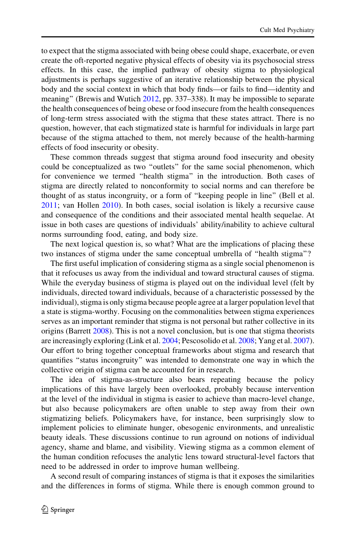to expect that the stigma associated with being obese could shape, exacerbate, or even create the oft-reported negative physical effects of obesity via its psychosocial stress effects. In this case, the implied pathway of obesity stigma to physiological adjustments is perhaps suggestive of an iterative relationship between the physical body and the social context in which that body finds—or fails to find—identity and meaning'' (Brewis and Wutich [2012](#page-16-0), pp. 337–338). It may be impossible to separate the health consequences of being obese or food insecure from the health consequences of long-term stress associated with the stigma that these states attract. There is no question, however, that each stigmatized state is harmful for individuals in large part because of the stigma attached to them, not merely because of the health-harming effects of food insecurity or obesity.

These common threads suggest that stigma around food insecurity and obesity could be conceptualized as two ''outlets'' for the same social phenomenon, which for convenience we termed ''health stigma'' in the introduction. Both cases of stigma are directly related to nonconformity to social norms and can therefore be thought of as status incongruity, or a form of ''keeping people in line'' (Bell et al. [2011;](#page-16-0) van Hollen [2010](#page-20-0)). In both cases, social isolation is likely a recursive cause and consequence of the conditions and their associated mental health sequelae. At issue in both cases are questions of individuals' ability/inability to achieve cultural norms surrounding food, eating, and body size.

The next logical question is, so what? What are the implications of placing these two instances of stigma under the same conceptual umbrella of ''health stigma''?

The first useful implication of considering stigma as a single social phenomenon is that it refocuses us away from the individual and toward structural causes of stigma. While the everyday business of stigma is played out on the individual level (felt by individuals, directed toward individuals, because of a characteristic possessed by the individual), stigma is only stigma because people agree at a larger population level that a state is stigma-worthy. Focusing on the commonalities between stigma experiences serves as an important reminder that stigma is not personal but rather collective in its origins (Barrett [2008\)](#page-16-0). This is not a novel conclusion, but is one that stigma theorists are increasingly exploring (Link et al. [2004](#page-18-0); Pescosolido et al. [2008](#page-19-0); Yang et al. [2007\)](#page-21-0). Our effort to bring together conceptual frameworks about stigma and research that quantifies ''status incongruity'' was intended to demonstrate one way in which the collective origin of stigma can be accounted for in research.

The idea of stigma-as-structure also bears repeating because the policy implications of this have largely been overlooked, probably because intervention at the level of the individual in stigma is easier to achieve than macro-level change, but also because policymakers are often unable to step away from their own stigmatizing beliefs. Policymakers have, for instance, been surprisingly slow to implement policies to eliminate hunger, obesogenic environments, and unrealistic beauty ideals. These discussions continue to run aground on notions of individual agency, shame and blame, and visibility. Viewing stigma as a common element of the human condition refocuses the analytic lens toward structural-level factors that need to be addressed in order to improve human wellbeing.

A second result of comparing instances of stigma is that it exposes the similarities and the differences in forms of stigma. While there is enough common ground to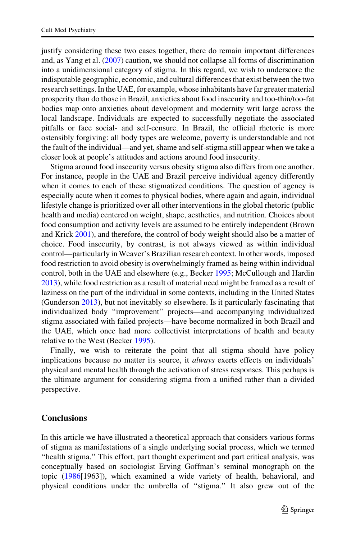justify considering these two cases together, there do remain important differences and, as Yang et al. [\(2007](#page-21-0)) caution, we should not collapse all forms of discrimination into a unidimensional category of stigma. In this regard, we wish to underscore the indisputable geographic, economic, and cultural differences that exist between the two research settings. In the UAE, for example, whose inhabitants have far greater material prosperity than do those in Brazil, anxieties about food insecurity and too-thin/too-fat bodies map onto anxieties about development and modernity writ large across the local landscape. Individuals are expected to successfully negotiate the associated pitfalls or face social- and self-censure. In Brazil, the official rhetoric is more ostensibly forgiving: all body types are welcome, poverty is understandable and not the fault of the individual—and yet, shame and self-stigma still appear when we take a closer look at people's attitudes and actions around food insecurity.

Stigma around food insecurity versus obesity stigma also differs from one another. For instance, people in the UAE and Brazil perceive individual agency differently when it comes to each of these stigmatized conditions. The question of agency is especially acute when it comes to physical bodies, where again and again, individual lifestyle change is prioritized over all other interventions in the global rhetoric (public health and media) centered on weight, shape, aesthetics, and nutrition. Choices about food consumption and activity levels are assumed to be entirely independent (Brown and Krick [2001\)](#page-16-0), and therefore, the control of body weight should also be a matter of choice. Food insecurity, by contrast, is not always viewed as within individual control—particularly in Weaver's Brazilian research context. In other words, imposed food restriction to avoid obesity is overwhelmingly framed as being within individual control, both in the UAE and elsewhere (e.g., Becker [1995](#page-16-0); McCullough and Hardin [2013\)](#page-18-0), while food restriction as a result of material need might be framed as a result of laziness on the part of the individual in some contexts, including in the United States (Gunderson [2013\)](#page-17-0), but not inevitably so elsewhere. Is it particularly fascinating that individualized body ''improvement'' projects—and accompanying individualized stigma associated with failed projects—have become normalized in both Brazil and the UAE, which once had more collectivist interpretations of health and beauty relative to the West (Becker [1995\)](#page-16-0).

Finally, we wish to reiterate the point that all stigma should have policy implications because no matter its source, it always exerts effects on individuals' physical and mental health through the activation of stress responses. This perhaps is the ultimate argument for considering stigma from a unified rather than a divided perspective.

# **Conclusions**

In this article we have illustrated a theoretical approach that considers various forms of stigma as manifestations of a single underlying social process, which we termed "health stigma." This effort, part thought experiment and part critical analysis, was conceptually based on sociologist Erving Goffman's seminal monograph on the topic ([1986\[](#page-17-0)1963]), which examined a wide variety of health, behavioral, and physical conditions under the umbrella of ''stigma.'' It also grew out of the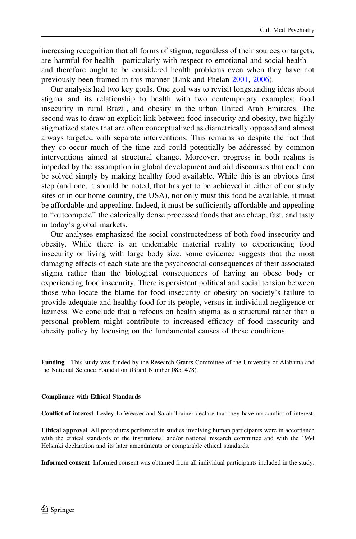increasing recognition that all forms of stigma, regardless of their sources or targets, are harmful for health—particularly with respect to emotional and social health and therefore ought to be considered health problems even when they have not previously been framed in this manner (Link and Phelan [2001,](#page-18-0) [2006](#page-18-0)).

Our analysis had two key goals. One goal was to revisit longstanding ideas about stigma and its relationship to health with two contemporary examples: food insecurity in rural Brazil, and obesity in the urban United Arab Emirates. The second was to draw an explicit link between food insecurity and obesity, two highly stigmatized states that are often conceptualized as diametrically opposed and almost always targeted with separate interventions. This remains so despite the fact that they co-occur much of the time and could potentially be addressed by common interventions aimed at structural change. Moreover, progress in both realms is impeded by the assumption in global development and aid discourses that each can be solved simply by making healthy food available. While this is an obvious first step (and one, it should be noted, that has yet to be achieved in either of our study sites or in our home country, the USA), not only must this food be available, it must be affordable and appealing. Indeed, it must be sufficiently affordable and appealing to ''outcompete'' the calorically dense processed foods that are cheap, fast, and tasty in today's global markets.

Our analyses emphasized the social constructedness of both food insecurity and obesity. While there is an undeniable material reality to experiencing food insecurity or living with large body size, some evidence suggests that the most damaging effects of each state are the psychosocial consequences of their associated stigma rather than the biological consequences of having an obese body or experiencing food insecurity. There is persistent political and social tension between those who locate the blame for food insecurity or obesity on society's failure to provide adequate and healthy food for its people, versus in individual negligence or laziness. We conclude that a refocus on health stigma as a structural rather than a personal problem might contribute to increased efficacy of food insecurity and obesity policy by focusing on the fundamental causes of these conditions.

Funding This study was funded by the Research Grants Committee of the University of Alabama and the National Science Foundation (Grant Number 0851478).

### Compliance with Ethical Standards

Conflict of interest Lesley Jo Weaver and Sarah Trainer declare that they have no conflict of interest.

Ethical approval All procedures performed in studies involving human participants were in accordance with the ethical standards of the institutional and/or national research committee and with the 1964 Helsinki declaration and its later amendments or comparable ethical standards.

Informed consent Informed consent was obtained from all individual participants included in the study.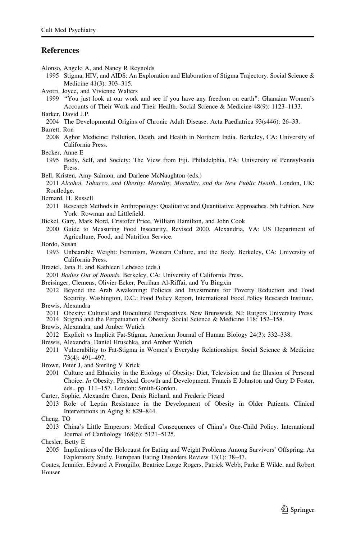### <span id="page-16-0"></span>**References**

Alonso, Angelo A, and Nancy R Reynolds

1995 Stigma, HIV, and AIDS: An Exploration and Elaboration of Stigma Trajectory. Social Science & Medicine 41(3): 303–315.

Avotri, Joyce, and Vivienne Walters

1999 ''You just look at our work and see if you have any freedom on earth'': Ghanaian Women's Accounts of Their Work and Their Health. Social Science & Medicine 48(9): 1123–1133.

Barker, David J.P.

2004 The Developmental Origins of Chronic Adult Disease. Acta Paediatrica 93(s446): 26–33.

Barrett, Ron

- 2008 Aghor Medicine: Pollution, Death, and Health in Northern India. Berkeley, CA: University of California Press.
- Becker, Anne E
	- 1995 Body, Self, and Society: The View from Fiji. Philadelphia, PA: University of Pennsylvania Press.
- Bell, Kristen, Amy Salmon, and Darlene McNaughton (eds.) 2011 Alcohol, Tobacco, and Obesity: Morality, Mortality, and the New Public Health. London, UK: Routledge.
- Bernard, H. Russell
- 2011 Research Methods in Anthropology: Qualitative and Quantitative Approaches. 5th Edition. New York: Rowman and Littlefield.
- Bickel, Gary, Mark Nord, Cristofer Price, William Hamilton, and John Cook
- 2000 Guide to Measuring Food Insecurity, Revised 2000. Alexandria, VA: US Department of Agriculture, Food, and Nutrition Service.
- Bordo, Susan
	- 1993 Unbearable Weight: Feminism, Western Culture, and the Body. Berkeley, CA: University of California Press.
- Braziel, Jana E. and Kathleen Lebesco (eds.)

2001 Bodies Out of Bounds. Berkeley, CA: University of California Press.

Breisinger, Clemens, Olivier Ecker, Perrihan Al-Riffai, and Yu Bingxin

2012 Beyond the Arab Awakening: Policies and Investments for Poverty Reduction and Food Security. Washington, D.C.: Food Policy Report, International Food Policy Research Institute.

Brewis, Alexandra

2011 Obesity: Cultural and Biocultural Perspectives. New Brunswick, NJ: Rutgers University Press.

2014 Stigma and the Perpetuation of Obesity. Social Science & Medicine 118: 152–158.

- Brewis, Alexandra, and Amber Wutich
- 2012 Explicit vs Implicit Fat-Stigma. American Journal of Human Biology 24(3): 332–338.
- Brewis, Alexandra, Daniel Hruschka, and Amber Wutich
- 2011 Vulnerability to Fat-Stigma in Women's Everyday Relationships. Social Science & Medicine 73(4): 491–497.
- Brown, Peter J, and Sterling V Krick
- 2001 Culture and Ethnicity in the Etiology of Obesity: Diet, Television and the Illusion of Personal Choice. In Obesity, Physical Growth and Development. Francis E Johnston and Gary D Foster, eds., pp. 111–157. London: Smith-Gordon.
- Carter, Sophie, Alexandre Caron, Denis Richard, and Frederic Picard
- 2013 Role of Leptin Resistance in the Development of Obesity in Older Patients. Clinical Interventions in Aging 8: 829–844.
- Cheng, TO
- 2013 China's Little Emperors: Medical Consequences of China's One-Child Policy. International Journal of Cardiology 168(6): 5121–5125.
- Chesler, Betty E
- 2005 Implications of the Holocaust for Eating and Weight Problems Among Survivors' Offspring: An Exploratory Study. European Eating Disorders Review 13(1): 38–47.

Coates, Jennifer, Edward A Frongillo, Beatrice Lorge Rogers, Patrick Webb, Parke E Wilde, and Robert Houser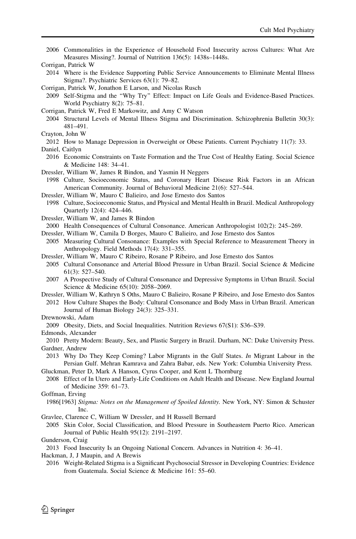<span id="page-17-0"></span>2006 Commonalities in the Experience of Household Food Insecurity across Cultures: What Are Measures Missing?. Journal of Nutrition 136(5): 1438s–1448s.

- 2014 Where is the Evidence Supporting Public Service Announcements to Eliminate Mental Illness Stigma?. Psychiatric Services 63(1): 79–82.
- Corrigan, Patrick W, Jonathon E Larson, and Nicolas Rusch
- 2009 Self-Stigma and the ''Why Try'' Effect: Impact on Life Goals and Evidence-Based Practices. World Psychiatry 8(2): 75–81.
- Corrigan, Patrick W, Fred E Markowitz, and Amy C Watson
- 2004 Structural Levels of Mental Illness Stigma and Discrimination. Schizophrenia Bulletin 30(3): 481–491.
- Crayton, John W
- 2012 How to Manage Depression in Overweight or Obese Patients. Current Psychiatry 11(7): 33.

```
Daniel, Caitlyn
```
- 2016 Economic Constraints on Taste Formation and the True Cost of Healthy Eating. Social Science & Medicine 148: 34–41.
- Dressler, William W, James R Bindon, and Yasmin H Neggers
- 1998 Culture, Socioeconomic Status, and Coronary Heart Disease Risk Factors in an African American Community. Journal of Behavioral Medicine 21(6): 527–544.
- Dressler, William W, Mauro C Balieiro, and Jose Ernesto dos Santos
- 1998 Culture, Socioeconomic Status, and Physical and Mental Health in Brazil. Medical Anthropology Quarterly 12(4): 424–446.
- Dressler, William W, and James R Bindon
- 2000 Health Consequences of Cultural Consonance. American Anthropologist 102(2): 245–269.
- Dressler, William W, Camila D Borges, Mauro C Balieiro, and Jose Ernesto dos Santos
- 2005 Measuring Cultural Consonance: Examples with Special Reference to Measurement Theory in Anthropology. Field Methods 17(4): 331–355.
- Dressler, William W, Mauro C Ribeiro, Rosane P Ribeiro, and Jose Ernesto dos Santos
- 2005 Cultural Consonance and Arterial Blood Pressure in Urban Brazil. Social Science & Medicine 61(3): 527–540.
- 2007 A Prospective Study of Cultural Consonance and Depressive Symptoms in Urban Brazil. Social Science & Medicine 65(10): 2058–2069.
- Dressler, William W, Kathryn S Oths, Mauro C Balieiro, Rosane P Ribeiro, and Jose Ernesto dos Santos 2012 How Culture Shapes the Body: Cultural Consonance and Body Mass in Urban Brazil. American Journal of Human Biology 24(3): 325–331.
- Drewnowski, Adam

2009 Obesity, Diets, and Social Inequalities. Nutrition Reviews 67(S1): S36–S39.

#### Edmonds, Alexander

2010 Pretty Modern: Beauty, Sex, and Plastic Surgery in Brazil. Durham, NC: Duke University Press. Gardner, Andrew

2013 Why Do They Keep Coming? Labor Migrants in the Gulf States. In Migrant Labour in the Persian Gulf. Mehran Kamrava and Zahra Babar, eds. New York: Columbia University Press.

Gluckman, Peter D, Mark A Hanson, Cyrus Cooper, and Kent L Thornburg

2008 Effect of In Utero and Early-Life Conditions on Adult Health and Disease. New England Journal of Medicine 359: 61–73.

#### Goffman, Erving

- 1986[1963] Stigma: Notes on the Management of Spoiled Identity. New York, NY: Simon & Schuster Inc.
- Gravlee, Clarence C, William W Dressler, and H Russell Bernard
	- 2005 Skin Color, Social Classification, and Blood Pressure in Southeastern Puerto Rico. American Journal of Public Health 95(12): 2191–2197.

#### Gunderson, Craig

2013 Food Insecurity Is an Ongoing National Concern. Advances in Nutrition 4: 36–41.

Hackman, J, J Maupin, and A Brewis

2016 Weight-Related Stigma is a Significant Psychosocial Stressor in Developing Countries: Evidence from Guatemala. Social Science & Medicine 161: 55–60.

Corrigan, Patrick W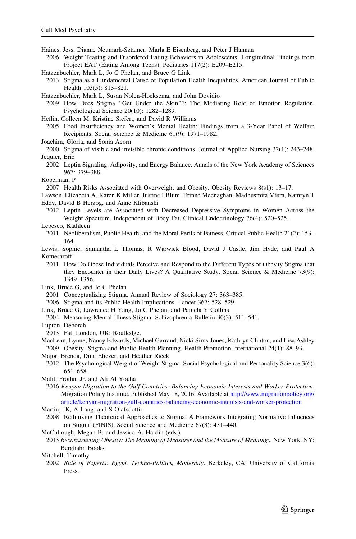<span id="page-18-0"></span>Haines, Jess, Dianne Neumark-Sztainer, Marla E Eisenberg, and Peter J Hannan

2006 Weight Teasing and Disordered Eating Behaviors in Adolescents: Longitudinal Findings from Project EAT (Eating Among Teens). Pediatrics 117(2): E209–E215.

- Hatzenbuehler, Mark L, Jo C Phelan, and Bruce G Link
- 2013 Stigma as a Fundamental Cause of Population Health Inequalities. American Journal of Public Health 103(5): 813–821.
- Hatzenbuehler, Mark L, Susan Nolen-Hoeksema, and John Dovidio

2009 How Does Stigma ''Get Under the Skin''?: The Mediating Role of Emotion Regulation. Psychological Science 20(10): 1282–1289.

- Heflin, Colleen M, Kristine Siefert, and David R Williams
- 2005 Food Insufficiency and Women's Mental Health: Findings from a 3-Year Panel of Welfare Recipients. Social Science & Medicine 61(9): 1971–1982.

Joachim, Gloria, and Sonia Acorn

- 2000 Stigma of visible and invisible chronic conditions. Journal of Applied Nursing 32(1): 243–248. Jequier, Eric
	- 2002 Leptin Signaling, Adiposity, and Energy Balance. Annals of the New York Academy of Sciences 967: 379–388.
- Kopelman, P

2007 Health Risks Associated with Overweight and Obesity. Obesity Reviews 8(s1): 13–17.

- Lawson, Elizabeth A, Karen K Miller, Justine I Blum, Erinne Meenaghan, Madhusmita Misra, Kamryn T Eddy, David B Herzog, and Anne Klibanski
- 2012 Leptin Levels are Associated with Decreased Depressive Symptoms in Women Across the Weight Spectrum. Independent of Body Fat. Clinical Endocrinology 76(4): 520–525.

### Lebesco, Kathleen

- 2011 Neoliberalism, Public Health, and the Moral Perils of Fatness. Critical Public Health 21(2): 153– 164.
- Lewis, Sophie, Samantha L Thomas, R Warwick Blood, David J Castle, Jim Hyde, and Paul A Komesaroff
	- 2011 How Do Obese Individuals Perceive and Respond to the Different Types of Obesity Stigma that they Encounter in their Daily Lives? A Qualitative Study. Social Science & Medicine 73(9): 1349–1356.
- Link, Bruce G, and Jo C Phelan
	- 2001 Conceptualizing Stigma. Annual Review of Sociology 27: 363–385.
- 2006 Stigma and its Public Health Implications. Lancet 367: 528–529.
- Link, Bruce G, Lawrence H Yang, Jo C Phelan, and Pamela Y Collins
- 2004 Measuring Mental Illness Stigma. Schizophrenia Bulletin 30(3): 511–541.

Lupton, Deborah

- 2013 Fat. London, UK: Routledge.
- MacLean, Lynne, Nancy Edwards, Michael Garrand, Nicki Sims-Jones, Kathryn Clinton, and Lisa Ashley 2009 Obesity, Stigma and Public Health Planning. Health Promotion International 24(1): 88–93.
- Major, Brenda, Dina Eliezer, and Heather Rieck
- 2012 The Psychological Weight of Weight Stigma. Social Psychological and Personality Science 3(6): 651–658.
- Malit, Froilan Jr. and Ali Al Youha
- 2016 Kenyan Migration to the Gulf Countries: Balancing Economic Interests and Worker Protection. Migration Policy Institute. Published May 18, 2016. Available at [http://www.migrationpolicy.org/](http://www.migrationpolicy.org/article/kenyan-migration-gulf-countries-balancing-economic-interests-and-worker-protection) [article/kenyan-migration-gulf-countries-balancing-economic-interests-and-worker-protection](http://www.migrationpolicy.org/article/kenyan-migration-gulf-countries-balancing-economic-interests-and-worker-protection)

Martin, JK, A Lang, and S Olafsdottir

- 2008 Rethinking Theoretical Approaches to Stigma: A Framework Integrating Normative Influences on Stigma (FINIS). Social Science and Medicine 67(3): 431–440.
- McCullough, Megan B. and Jessica A. Hardin (eds.)
- 2013 Reconstructing Obesity: The Meaning of Measures and the Measure of Meanings. New York, NY: Berghahn Books.
- Mitchell, Timothy
	- 2002 Rule of Experts: Egypt, Techno-Politics, Modernity. Berkeley, CA: University of California Press.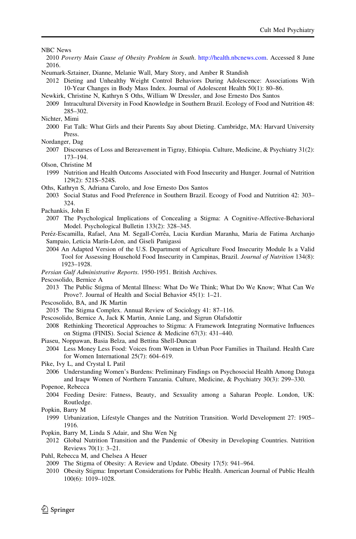<span id="page-19-0"></span>NBC News

- 2010 Poverty Main Cause of Obesity Problem in South. <http://health.nbcnews.com>. Accessed 8 June 2016.
- Neumark-Sztainer, Dianne, Melanie Wall, Mary Story, and Amber R Standish

2012 Dieting and Unhealthy Weight Control Behaviors During Adolescence: Associations With 10-Year Changes in Body Mass Index. Journal of Adolescent Health 50(1): 80–86.

Newkirk, Christine N, Kathryn S Oths, William W Dressler, and Jose Ernesto Dos Santos

2009 Intracultural Diversity in Food Knowledge in Southern Brazil. Ecology of Food and Nutrition 48: 285–302.

Nichter, Mimi

- 2000 Fat Talk: What Girls and their Parents Say about Dieting. Cambridge, MA: Harvard University Press.
- Nordanger, Dag
- 2007 Discourses of Loss and Bereavement in Tigray, Ethiopia. Culture, Medicine, & Psychiatry 31(2): 173–194.

Olson, Christine M

- 1999 Nutrition and Health Outcoms Associated with Food Insecurity and Hunger. Journal of Nutrition 129(2): 521S–524S.
- Oths, Kathryn S, Adriana Carolo, and Jose Ernesto Dos Santos
- 2003 Social Status and Food Preference in Southern Brazil. Ecoogy of Food and Nutrition 42: 303– 324.
- Pachankis, John E
- 2007 The Psychological Implications of Concealing a Stigma: A Cognitive-Affective-Behavioral Model. Psychological Bulletin 133(2): 328–345.
- Peréz-Escamilla, Rafael, Ana M. Segall-Corrêa, Lucia Kurdian Maranha, Maria de Fatima Archanjo Sampaio, Leticia Marín-Léon, and Giseli Panigassi
	- 2004 An Adapted Version of the U.S. Department of Agriculture Food Insecurity Module Is a Valid Tool for Assessing Household Food Insecurity in Campinas, Brazil. Journal of Nutrition 134(8): 1923–1928.
- Persian Gulf Administrative Reports. 1950-1951. British Archives.

Pescosolido, Bernice A

- 2013 The Public Stigma of Mental Illness: What Do We Think; What Do We Know; What Can We Prove?. Journal of Health and Social Behavior 45(1): 1–21.
- Pescosolido, BA, and JK Martin
- 2015 The Stigma Complex. Annual Review of Sociology 41: 87–116.
- Pescosolido, Bernice A, Jack K Martin, Annie Lang, and Sigrun Olafsdottir
- 2008 Rethinking Theoretical Approaches to Stigma: A Framework Integrating Normative Influences on Stigma (FINIS). Social Science & Medicine 67(3): 431–440.
- Piaseu, Noppawan, Basia Belza, and Bettina Shell-Duncan
- 2004 Less Money Less Food: Voices from Women in Urban Poor Families in Thailand. Health Care for Women International 25(7): 604–619.

Pike, Ivy L, and Crystal L Patil

- 2006 Understanding Women's Burdens: Preliminary Findings on Psychosocial Health Among Datoga and Iraqw Women of Northern Tanzania. Culture, Medicine, & Psychiatry 30(3): 299–330.
- Popenoe, Rebecca
- 2004 Feeding Desire: Fatness, Beauty, and Sexuality among a Saharan People. London, UK: Routledge.

Popkin, Barry M

- 1999 Urbanization, Lifestyle Changes and the Nutrition Transition. World Development 27: 1905– 1916.
- Popkin, Barry M, Linda S Adair, and Shu Wen Ng
- 2012 Global Nutrition Transition and the Pandemic of Obesity in Developing Countries. Nutrition Reviews 70(1): 3–21.
- Puhl, Rebecca M, and Chelsea A Heuer
- 2009 The Stigma of Obesity: A Review and Update. Obesity 17(5): 941–964.
- 2010 Obesity Stigma: Important Considerations for Public Health. American Journal of Public Health 100(6): 1019–1028.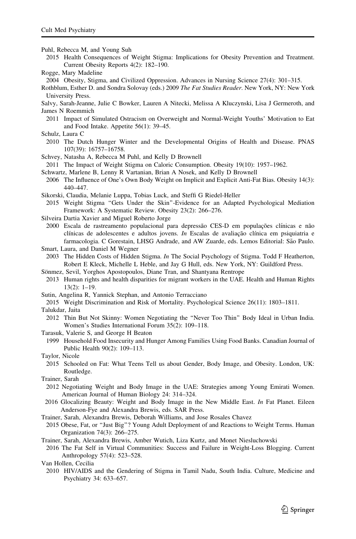<span id="page-20-0"></span>Puhl, Rebecca M, and Young Suh

- 2015 Health Consequences of Weight Stigma: Implications for Obesity Prevention and Treatment. Current Obesity Reports 4(2): 182–190.
- Rogge, Mary Madeline
- 2004 Obesity, Stigma, and Civilized Oppression. Advances in Nursing Science 27(4): 301–315.

Rothblum, Esther D. and Sondra Solovay (eds.) 2009 The Fat Studies Reader. New York, NY: New York University Press.

Salvy, Sarah-Jeanne, Julie C Bowker, Lauren A Nitecki, Melissa A Kluczynski, Lisa J Germeroth, and James N Roemmich

- 2011 Impact of Simulated Ostracism on Overweight and Normal-Weight Youths' Motivation to Eat and Food Intake. Appetite 56(1): 39–45.
- Schulz, Laura C
- 2010 The Dutch Hunger Winter and the Developmental Origins of Health and Disease. PNAS 107(39): 16757–16758.
- Schvey, Natasha A, Rebecca M Puhl, and Kelly D Brownell
- 2011 The Impact of Weight Stigma on Caloric Consumption. Obesity 19(10): 1957–1962.
- Schwartz, Marlene B, Lenny R Vartanian, Brian A Nosek, and Kelly D Brownell
- 2006 The Influence of One's Own Body Weight on Implicit and Explicit Anti-Fat Bias. Obesity 14(3): 440–447.
- Sikorski, Claudia, Melanie Luppa, Tobias Luck, and Steffi G Riedel-Heller
- 2015 Weight Stigma ''Gets Under the Skin''-Evidence for an Adapted Psychological Mediation Framework: A Systematic Review. Obesity 23(2): 266–276.
- Silveira Dartia Xavier and Miguel Roberto Jorge
- 2000 Escala de rastreamento populacional para depressão CES-D em populações clínicas e não clínicas de adolescentes e adultos jovens. In Escalas de avaliação clínica em psiquiatria e farmacologia. C Gorestain, LHSG Andrade, and AW Zuarde, eds. Lemos Editorial: São Paulo.
- Smart, Laura, and Daniel M Wegner
- 2003 The Hidden Costs of Hidden Stigma. In The Social Psychology of Stigma. Todd F Heatherton, Robert E Kleck, Michelle L Heble, and Jay G Hull, eds. New York, NY: Guildford Press.
- Sönmez, Sevil, Yorghos Apostopoulos, Diane Tran, and Shantyana Rentrope
- 2013 Human rights and health disparities for migrant workers in the UAE. Health and Human Rights 13(2): 1–19.
- Sutin, Angelina R, Yannick Stephan, and Antonio Terracciano
- 2015 Weight Discrimination and Risk of Mortality. Psychological Science 26(11): 1803–1811.

Talukdar, Jaita

- 2012 Thin But Not Skinny: Women Negotiating the ''Never Too Thin'' Body Ideal in Urban India. Women's Studies International Forum 35(2): 109–118.
- Tarasuk, Valerie S, and George H Beaton
- 1999 Household Food Insecurity and Hunger Among Families Using Food Banks. Canadian Journal of Public Health 90(2): 109–113.
- Taylor, Nicole
	- 2015 Schooled on Fat: What Teens Tell us about Gender, Body Image, and Obesity. London, UK: Routledge.
- Trainer, Sarah
- 2012 Negotiating Weight and Body Image in the UAE: Strategies among Young Emirati Women. American Journal of Human Biology 24: 314–324.
- 2016 Glocalizing Beauty: Weight and Body Image in the New Middle East. In Fat Planet. Eileen Anderson-Fye and Alexandra Brewis, eds. SAR Press.
- Trainer, Sarah, Alexandra Brewis, Deborah Williams, and Jose Rosales Chavez
- 2015 Obese, Fat, or ''Just Big''? Young Adult Deployment of and Reactions to Weight Terms. Human Organization 74(3): 266–275.
- Trainer, Sarah, Alexandra Brewis, Amber Wutich, Liza Kurtz, and Monet Niesluchowski
- 2016 The Fat Self in Virtual Communities: Success and Failure in Weight-Loss Blogging. Current Anthropology 57(4): 523–528.
- Van Hollen, Cecilia
	- 2010 HIV/AIDS and the Gendering of Stigma in Tamil Nadu, South India. Culture, Medicine and Psychiatry 34: 633–657.